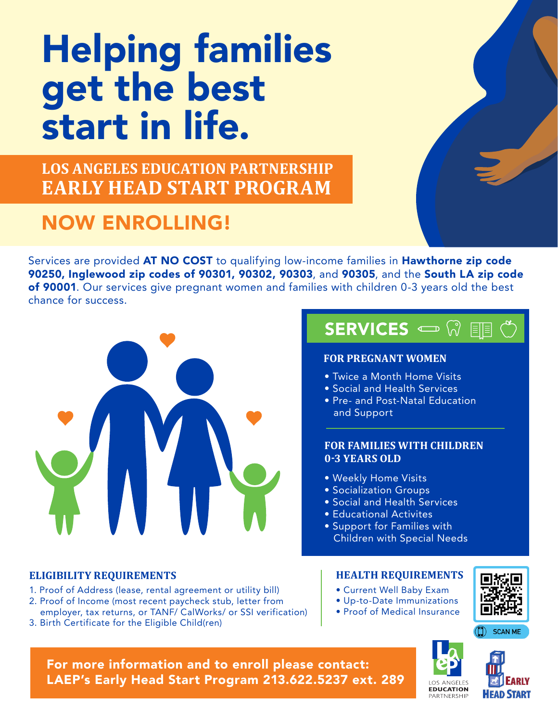# Helping families get the best start in life.

**LOS ANGELES EDUCATION PARTNERSHIP EARLY HEAD START PROGRAM**

## NOW ENROLLING!

Services are provided AT NO COST to qualifying low-income families in Hawthorne zip code 90250, Inglewood zip codes of 90301, 90302, 90303, and 90305, and the South LA zip code of 90001. Our services give pregnant women and families with children 0-3 years old the best chance for success.



### **ELIGIBILITY REQUIREMENTS HEALTH REQUIREMENTS**

- 1. Proof of Address (lease, rental agreement or utility bill)
- 2. Proof of Income (most recent paycheck stub, letter from employer, tax returns, or TANF/ CalWorks/ or SSI verification)
- 3. Birth Certificate for the Eligible Child(ren)

## SERVICES  $\implies$

### **FOR PREGNANT WOMEN**

- Twice a Month Home Visits
- Social and Health Services
- Pre- and Post-Natal Education and Support

### **FOR FAMILIES WITH CHILDREN 0-3 YEARS OLD**

- Weekly Home Visits
- Socialization Groups
- Social and Health Services
- Educational Activites
- Support for Families with Children with Special Needs

- Current Well Baby Exam
- Up-to-Date Immunizations
- Proof of Medical Insurance







For more information and to enroll please contact: LAEP's Early Head Start Program 213.622.5237 ext. 289